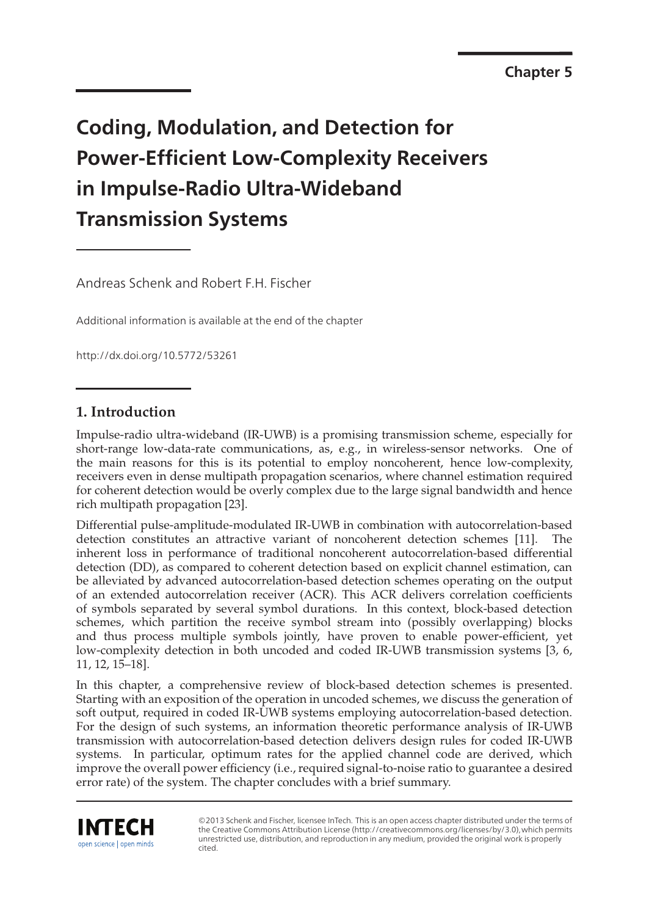**Chapter 5** 

# **Coding, Modulation, and Detection for Power-Efficient Low-Complexity Receivers in Impulse-Radio Ultra-Wideband Transmission Systems**

Andreas Schenk and Robert F.H. Fischer

Additional information is available at the end of the chapter

http://dx.doi.org/10.5772/53261

# **1. Introduction**

Impulse-radio ultra-wideband (IR-UWB) is a promising transmission scheme, especially for short-range low-data-rate communications, as, e.g., in wireless-sensor networks. One of the main reasons for this is its potential to employ noncoherent, hence low-complexity, receivers even in dense multipath propagation scenarios, where channel estimation required for coherent detection would be overly complex due to the large signal bandwidth and hence rich multipath propagation [23].

Differential pulse-amplitude-modulated IR-UWB in combination with autocorrelation-based detection constitutes an attractive variant of noncoherent detection schemes [11]. The inherent loss in performance of traditional noncoherent autocorrelation-based differential detection (DD), as compared to coherent detection based on explicit channel estimation, can be alleviated by advanced autocorrelation-based detection schemes operating on the output of an extended autocorrelation receiver (ACR). This ACR delivers correlation coefficients of symbols separated by several symbol durations. In this context, block-based detection schemes, which partition the receive symbol stream into (possibly overlapping) blocks and thus process multiple symbols jointly, have proven to enable power-efficient, yet low-complexity detection in both uncoded and coded IR-UWB transmission systems [3, 6, 11, 12, 15–18].

In this chapter, a comprehensive review of block-based detection schemes is presented. Starting with an exposition of the operation in uncoded schemes, we discuss the generation of soft output, required in coded IR-UWB systems employing autocorrelation-based detection. For the design of such systems, an information theoretic performance analysis of IR-UWB transmission with autocorrelation-based detection delivers design rules for coded IR-UWB systems. In particular, optimum rates for the applied channel code are derived, which improve the overall power efficiency (i.e., required signal-to-noise ratio to guarantee a desired error rate) of the system. The chapter concludes with a brief summary.



©2013 Schenk and Fischer, licensee InTech. This is an open access chapter distributed under the terms of the Creative Commons Attribution License (http://creativecommons.org/licenses/by/3.0),which permits unrestricted use, distribution, and reproduction in any medium, provided the original work is properly cited.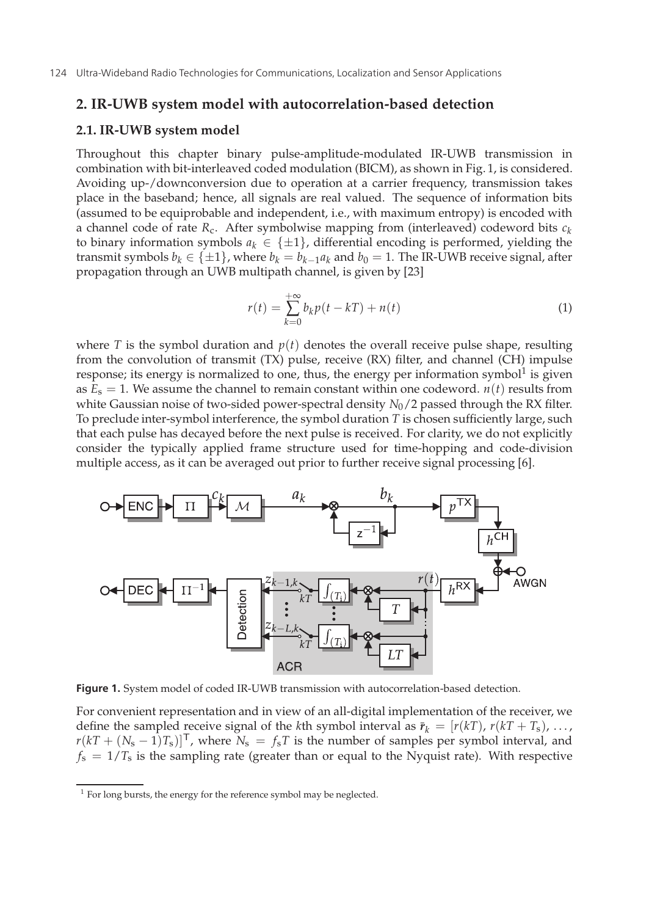#### **2. IR-UWB system model with autocorrelation-based detection**

## **2.1. IR-UWB system model**

Throughout this chapter binary pulse-amplitude-modulated IR-UWB transmission in combination with bit-interleaved coded modulation (BICM), as shown in Fig. 1, is considered. Avoiding up-/downconversion due to operation at a carrier frequency, transmission takes place in the baseband; hence, all signals are real valued. The sequence of information bits (assumed to be equiprobable and independent, i.e., with maximum entropy) is encoded with a channel code of rate  $R_c$ . After symbolwise mapping from (interleaved) codeword bits  $c_k$ to binary information symbols  $a_k \in \{\pm 1\}$ , differential encoding is performed, yielding the transmit symbols  $b_k \in \{\pm 1\}$ , where  $b_k = b_{k-1}a_k$  and  $b_0 = 1$ . The IR-UWB receive signal, after propagation through an UWB multipath channel, is given by [23]

$$
r(t) = \sum_{k=0}^{+\infty} b_k p(t - kT) + n(t)
$$
\n(1)

where *T* is the symbol duration and  $p(t)$  denotes the overall receive pulse shape, resulting from the convolution of transmit (TX) pulse, receive (RX) filter, and channel (CH) impulse response; its energy is normalized to one, thus, the energy per information symbol $1$  is given as  $E_s = 1$ . We assume the channel to remain constant within one codeword.  $n(t)$  results from white Gaussian noise of two-sided power-spectral density *N*<sub>0</sub>/2 passed through the RX filter. To preclude inter-symbol interference, the symbol duration *T* is chosen sufficiently large, such that each pulse has decayed before the next pulse is received. For clarity, we do not explicitly consider the typically applied frame structure used for time-hopping and code-division multiple access, as it can be averaged out prior to further receive signal processing [6].



**Figure 1.** System model of coded IR-UWB transmission with autocorrelation-based detection.

For convenient representation and in view of an all-digital implementation of the receiver, we define the sampled receive signal of the *k*th symbol interval as  $\bar{r}_k = [r(kT), r(kT + T_s), \ldots, r(kT + T_s)]$  $r(kT + (N_s - 1)T_s)$ <sup>T</sup>, where  $N_s = f_sT$  is the number of samples per symbol interval, and  $f_s = 1/T_s$  is the sampling rate (greater than or equal to the Nyquist rate). With respective

<sup>&</sup>lt;sup>1</sup> For long bursts, the energy for the reference symbol may be neglected.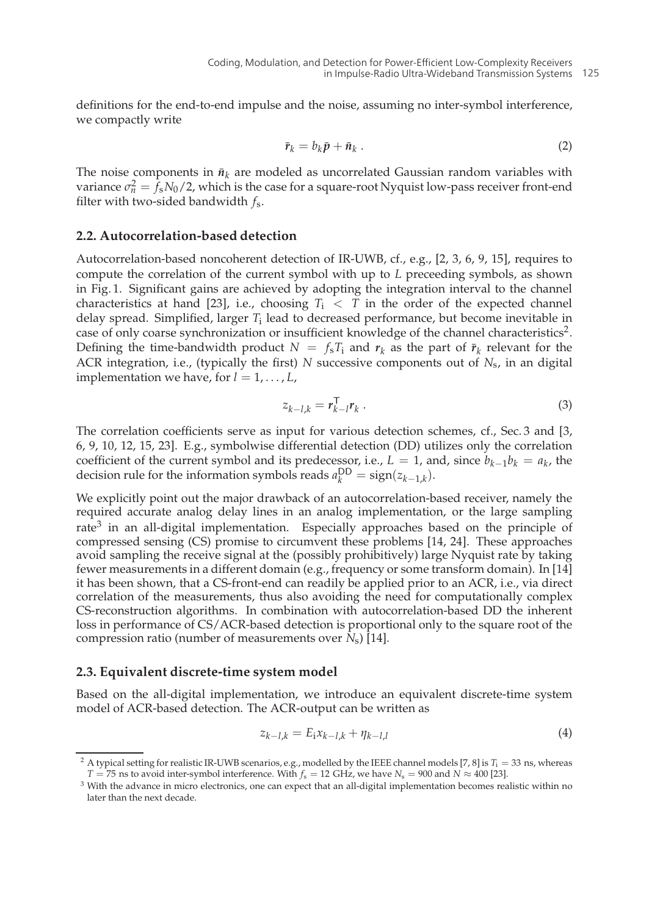definitions for the end-to-end impulse and the noise, assuming no inter-symbol interference, we compactly write

$$
\bar{\mathbf{r}}_k = b_k \bar{\mathbf{p}} + \bar{\mathbf{n}}_k \ . \tag{2}
$$

The noise components in  $\bar{n}_k$  are modeled as uncorrelated Gaussian random variables with variance  $\sigma_n^2 = f_s N_0/2$ , which is the case for a square-root Nyquist low-pass receiver front-end filter with two-sided bandwidth *f*s.

#### **2.2. Autocorrelation-based detection**

Autocorrelation-based noncoherent detection of IR-UWB, cf., e.g., [2, 3, 6, 9, 15], requires to compute the correlation of the current symbol with up to *L* preceeding symbols, as shown in Fig. 1. Significant gains are achieved by adopting the integration interval to the channel characteristics at hand [23], i.e., choosing  $T_i < T$  in the order of the expected channel delay spread. Simplified, larger *T*<sup>i</sup> lead to decreased performance, but become inevitable in case of only coarse synchronization or insufficient knowledge of the channel characteristics2. Defining the time-bandwidth product  $N = f_sT_i$  and  $r_k$  as the part of  $\bar{r}_k$  relevant for the ACR integration, i.e., (typically the first) *N* successive components out of *N*s, in an digital implementation we have, for  $l = 1, \ldots, L$ ,

$$
z_{k-l,k} = r_{k-l}^{\mathrm{T}} r_k \tag{3}
$$

The correlation coefficients serve as input for various detection schemes, cf., Sec. 3 and [3, 6, 9, 10, 12, 15, 23]. E.g., symbolwise differential detection (DD) utilizes only the correlation coefficient of the current symbol and its predecessor, i.e.,  $L = 1$ , and, since  $b_{k-1}b_k = a_k$ , the decision rule for the information symbols reads  $a_k^{\text{DD}} = \text{sign}(z_{k-1,k})$ .

We explicitly point out the major drawback of an autocorrelation-based receiver, namely the required accurate analog delay lines in an analog implementation, or the large sampling rate<sup>3</sup> in an all-digital implementation. Especially approaches based on the principle of compressed sensing (CS) promise to circumvent these problems [14, 24]. These approaches avoid sampling the receive signal at the (possibly prohibitively) large Nyquist rate by taking fewer measurements in a different domain (e.g., frequency or some transform domain). In [14] it has been shown, that a CS-front-end can readily be applied prior to an ACR, i.e., via direct correlation of the measurements, thus also avoiding the need for computationally complex CS-reconstruction algorithms. In combination with autocorrelation-based DD the inherent loss in performance of CS/ACR-based detection is proportional only to the square root of the compression ratio (number of measurements over *N*s) [14].

#### **2.3. Equivalent discrete-time system model**

Based on the all-digital implementation, we introduce an equivalent discrete-time system model of ACR-based detection. The ACR-output can be written as

$$
z_{k-l,k} = E_1 x_{k-l,k} + \eta_{k-l,l} \tag{4}
$$

<sup>&</sup>lt;sup>2</sup> A typical setting for realistic IR-UWB scenarios, e.g., modelled by the IEEE channel models [7, 8] is  $T_i = 33$  ns, whereas *T* = 75 ns to avoid inter-symbol interference. With  $f_s = 12$  GHz, we have  $N_s = 900$  and  $N \approx 400$  [23].

<sup>&</sup>lt;sup>3</sup> With the advance in micro electronics, one can expect that an all-digital implementation becomes realistic within no later than the next decade.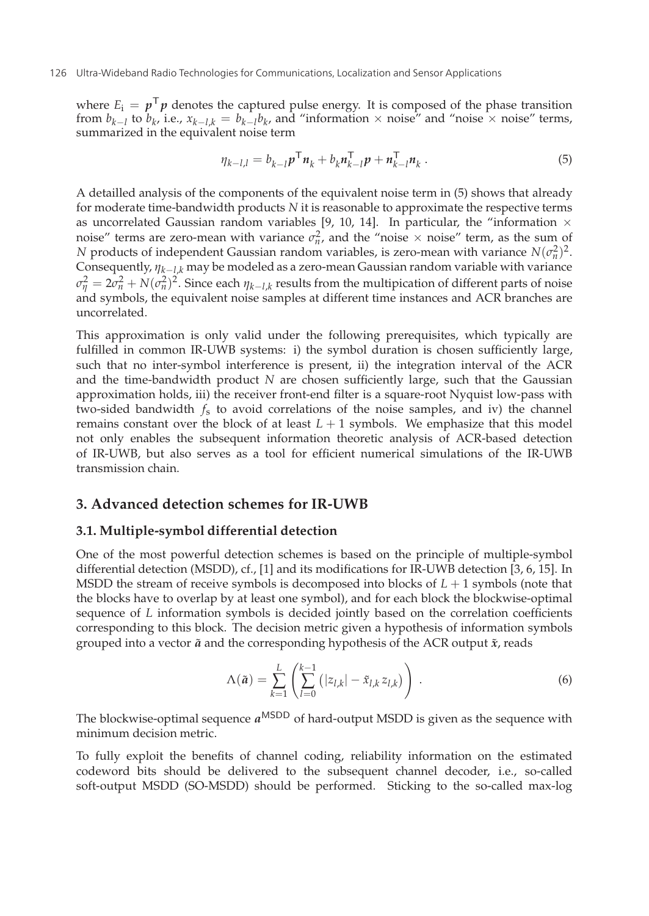#### 126 Ultra-Wideband Radio Technologies for Communications, Localization and Sensor Applications

where  $E_i = p^T p$  denotes the captured pulse energy. It is composed of the phase transition from  $b_{k-1}$  to  $b_k$ , i.e.,  $x_{k-1,k} = b_{k-1}b_k$ , and "information × noise" and "noise × noise" terms, summarized in the equivalent noise term

$$
\eta_{k-l,l} = b_{k-l} p^{\mathsf{T}} n_k + b_k n_{k-l}^{\mathsf{T}} p + n_{k-l}^{\mathsf{T}} n_k . \tag{5}
$$

A detailled analysis of the components of the equivalent noise term in (5) shows that already for moderate time-bandwidth products *N* it is reasonable to approximate the respective terms as uncorrelated Gaussian random variables [9, 10, 14]. In particular, the "information  $\times$ noise" terms are zero-mean with variance  $\sigma_n^2$ , and the "noise  $\times$  noise" term, as the sum of *N* products of independent Gaussian random variables, is zero-mean with variance  $N(\sigma_n^2)^2$ . Consequently,  $\eta_{k-1,k}$  may be modeled as a zero-mean Gaussian random variable with variance  $σ<sub>η</sub><sup>2</sup> = 2σ<sub>n</sub><sup>2</sup> + N(σ<sub>n</sub><sup>2</sup>)<sup>2</sup>$ . Since each  $η<sub>k−l,k</sub>$  results from the multipication of different parts of noise and symbols, the equivalent noise samples at different time instances and ACR branches are uncorrelated.

This approximation is only valid under the following prerequisites, which typically are fulfilled in common IR-UWB systems: i) the symbol duration is chosen sufficiently large, such that no inter-symbol interference is present, ii) the integration interval of the ACR and the time-bandwidth product *N* are chosen sufficiently large, such that the Gaussian approximation holds, iii) the receiver front-end filter is a square-root Nyquist low-pass with two-sided bandwidth *f*s to avoid correlations of the noise samples, and iv) the channel remains constant over the block of at least  $L + 1$  symbols. We emphasize that this model not only enables the subsequent information theoretic analysis of ACR-based detection of IR-UWB, but also serves as a tool for efficient numerical simulations of the IR-UWB transmission chain.

## **3. Advanced detection schemes for IR-UWB**

#### **3.1. Multiple-symbol differential detection**

One of the most powerful detection schemes is based on the principle of multiple-symbol differential detection (MSDD), cf., [1] and its modifications for IR-UWB detection [3, 6, 15]. In MSDD the stream of receive symbols is decomposed into blocks of *L* + 1 symbols (note that the blocks have to overlap by at least one symbol), and for each block the blockwise-optimal sequence of *L* information symbols is decided jointly based on the correlation coefficients corresponding to this block. The decision metric given a hypothesis of information symbols grouped into a vector  $\tilde{a}$  and the corresponding hypothesis of the ACR output  $\tilde{x}$ , reads

$$
\Lambda(\tilde{a}) = \sum_{k=1}^{L} \left( \sum_{l=0}^{k-1} (|z_{l,k}| - \tilde{x}_{l,k} z_{l,k}) \right) . \tag{6}
$$

The blockwise-optimal sequence  $a^{MSDD}$  of hard-output MSDD is given as the sequence with minimum decision metric.

To fully exploit the benefits of channel coding, reliability information on the estimated codeword bits should be delivered to the subsequent channel decoder, i.e., so-called soft-output MSDD (SO-MSDD) should be performed. Sticking to the so-called max-log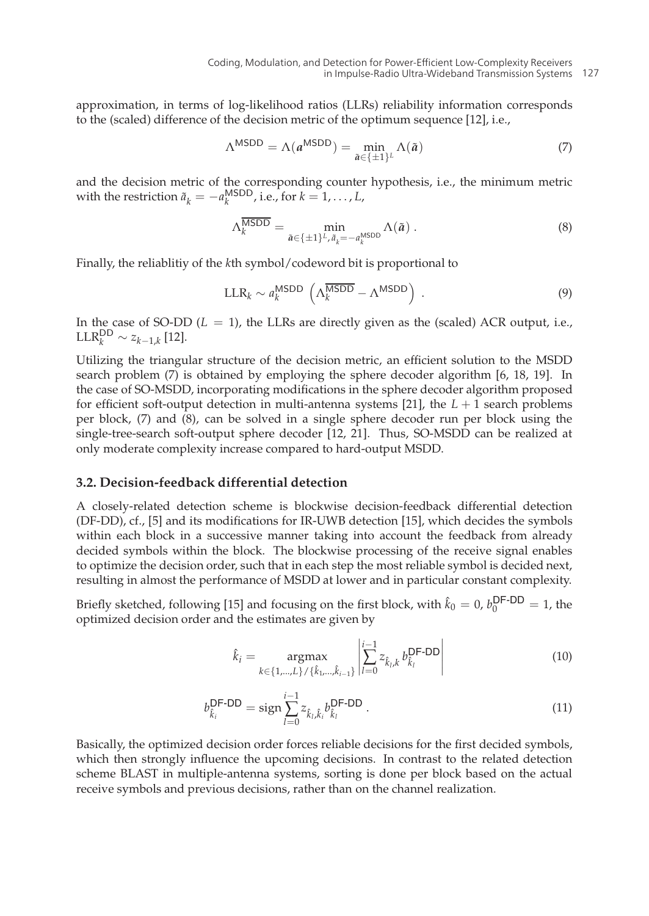approximation, in terms of log-likelihood ratios (LLRs) reliability information corresponds to the (scaled) difference of the decision metric of the optimum sequence [12], i.e.,

$$
\Lambda^{\text{MSDD}} = \Lambda(a^{\text{MSDD}}) = \min_{\tilde{a} \in \{\pm 1\}^L} \Lambda(\tilde{a}) \tag{7}
$$

and the decision metric of the corresponding counter hypothesis, i.e., the minimum metric with the restriction  $\tilde{a}_k = -a_k^{\text{MSDD}}$ , i.e., for  $k = 1, ..., L$ ,

$$
\Lambda_k^{\overline{\text{MSDD}}} = \min_{\tilde{a} \in \{\pm 1\}^L, \tilde{a}_k = -a_k^{\text{MSDD}} } \Lambda(\tilde{a}) . \tag{8}
$$

Finally, the reliablitiy of the *k*th symbol/codeword bit is proportional to

$$
LLR_k \sim a_k^{\text{MSDD}} \left( \Lambda_k^{\overline{\text{MSDD}}} - \Lambda^{\text{MSDD}} \right) . \tag{9}
$$

In the case of SO-DD  $(L = 1)$ , the LLRs are directly given as the (scaled) ACR output, i.e.,  $\text{LLR}_{k}^{\text{DD}} \sim z_{k-1,k}$  [12].

Utilizing the triangular structure of the decision metric, an efficient solution to the MSDD search problem (7) is obtained by employing the sphere decoder algorithm [6, 18, 19]. In the case of SO-MSDD, incorporating modifications in the sphere decoder algorithm proposed for efficient soft-output detection in multi-antenna systems [21], the  $L + 1$  search problems per block, (7) and (8), can be solved in a single sphere decoder run per block using the single-tree-search soft-output sphere decoder [12, 21]. Thus, SO-MSDD can be realized at only moderate complexity increase compared to hard-output MSDD.

### **3.2. Decision-feedback differential detection**

A closely-related detection scheme is blockwise decision-feedback differential detection (DF-DD), cf., [5] and its modifications for IR-UWB detection [15], which decides the symbols within each block in a successive manner taking into account the feedback from already decided symbols within the block. The blockwise processing of the receive signal enables to optimize the decision order, such that in each step the most reliable symbol is decided next, resulting in almost the performance of MSDD at lower and in particular constant complexity.

Briefly sketched, following [15] and focusing on the first block, with  $\hat{k}_0 = 0$ ,  $b_0^{\text{DF-DD}} = 1$ , the optimized decision order and the estimates are given by

$$
\hat{k}_{i} = \underset{k \in \{1, \dots, L\} / \{\hat{k}_{1}, \dots, \hat{k}_{i-1}\}}{\text{argmax}} \left| \frac{\sum_{l=0}^{i-1} z_{\hat{k}_{l}, k} b_{\hat{k}_{l}}^{\text{DF-DD}}}{\sum_{l=0}^{i-1} z_{\hat{k}_{l}, k}^{\text{D}} b_{\hat{k}_{l}}^{\text{DF-DD}}} \right|
$$
\n(10)

$$
b_{\hat{k}_i}^{\text{DF-DD}} = \text{sign} \sum_{l=0}^{i-1} z_{\hat{k}_l, \hat{k}_l} b_{\hat{k}_l}^{\text{DF-DD}}.
$$
 (11)

Basically, the optimized decision order forces reliable decisions for the first decided symbols, which then strongly influence the upcoming decisions. In contrast to the related detection scheme BLAST in multiple-antenna systems, sorting is done per block based on the actual receive symbols and previous decisions, rather than on the channel realization.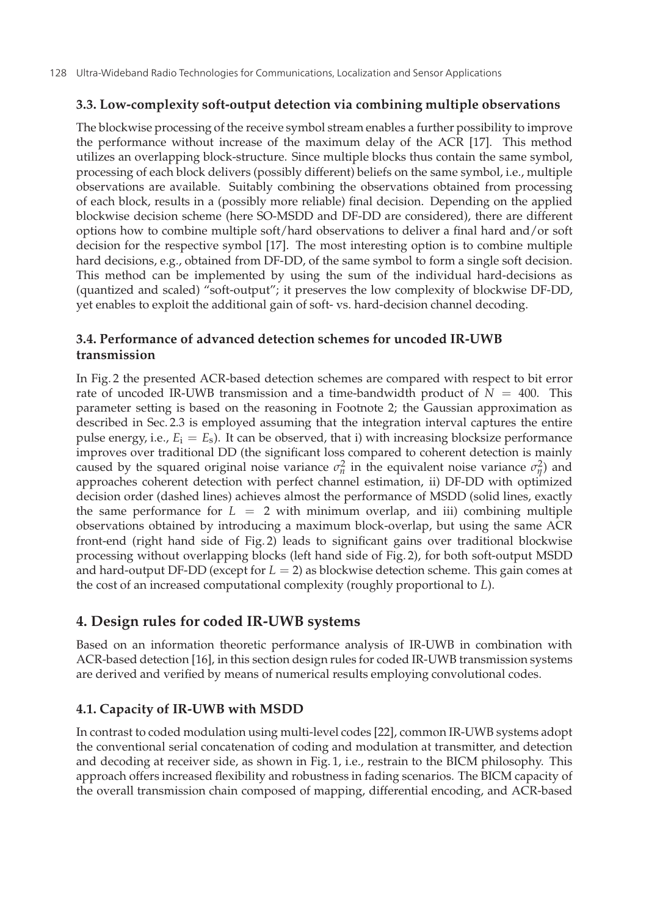## **3.3. Low-complexity soft-output detection via combining multiple observations**

The blockwise processing of the receive symbol stream enables a further possibility to improve the performance without increase of the maximum delay of the ACR [17]. This method utilizes an overlapping block-structure. Since multiple blocks thus contain the same symbol, processing of each block delivers (possibly different) beliefs on the same symbol, i.e., multiple observations are available. Suitably combining the observations obtained from processing of each block, results in a (possibly more reliable) final decision. Depending on the applied blockwise decision scheme (here SO-MSDD and DF-DD are considered), there are different options how to combine multiple soft/hard observations to deliver a final hard and/or soft decision for the respective symbol [17]. The most interesting option is to combine multiple hard decisions, e.g., obtained from DF-DD, of the same symbol to form a single soft decision. This method can be implemented by using the sum of the individual hard-decisions as (quantized and scaled) "soft-output"; it preserves the low complexity of blockwise DF-DD, yet enables to exploit the additional gain of soft- vs. hard-decision channel decoding.

# **3.4. Performance of advanced detection schemes for uncoded IR-UWB transmission**

In Fig. 2 the presented ACR-based detection schemes are compared with respect to bit error rate of uncoded IR-UWB transmission and a time-bandwidth product of  $N = 400$ . This parameter setting is based on the reasoning in Footnote 2; the Gaussian approximation as described in Sec. 2.3 is employed assuming that the integration interval captures the entire pulse energy, i.e.,  $E_i = E_s$ ). It can be observed, that i) with increasing blocksize performance improves over traditional DD (the significant loss compared to coherent detection is mainly caused by the squared original noise variance  $\sigma_n^2$  in the equivalent noise variance  $\sigma_\eta^2$ ) and approaches coherent detection with perfect channel estimation, ii) DF-DD with optimized decision order (dashed lines) achieves almost the performance of MSDD (solid lines, exactly the same performance for  $L = 2$  with minimum overlap, and iii) combining multiple observations obtained by introducing a maximum block-overlap, but using the same ACR front-end (right hand side of Fig. 2) leads to significant gains over traditional blockwise processing without overlapping blocks (left hand side of Fig. 2), for both soft-output MSDD and hard-output DF-DD (except for *L* = 2) as blockwise detection scheme. This gain comes at the cost of an increased computational complexity (roughly proportional to *L*).

# **4. Design rules for coded IR-UWB systems**

Based on an information theoretic performance analysis of IR-UWB in combination with ACR-based detection [16], in this section design rules for coded IR-UWB transmission systems are derived and verified by means of numerical results employing convolutional codes.

# **4.1. Capacity of IR-UWB with MSDD**

In contrast to coded modulation using multi-level codes [22], common IR-UWB systems adopt the conventional serial concatenation of coding and modulation at transmitter, and detection and decoding at receiver side, as shown in Fig. 1, i.e., restrain to the BICM philosophy. This approach offers increased flexibility and robustness in fading scenarios. The BICM capacity of the overall transmission chain composed of mapping, differential encoding, and ACR-based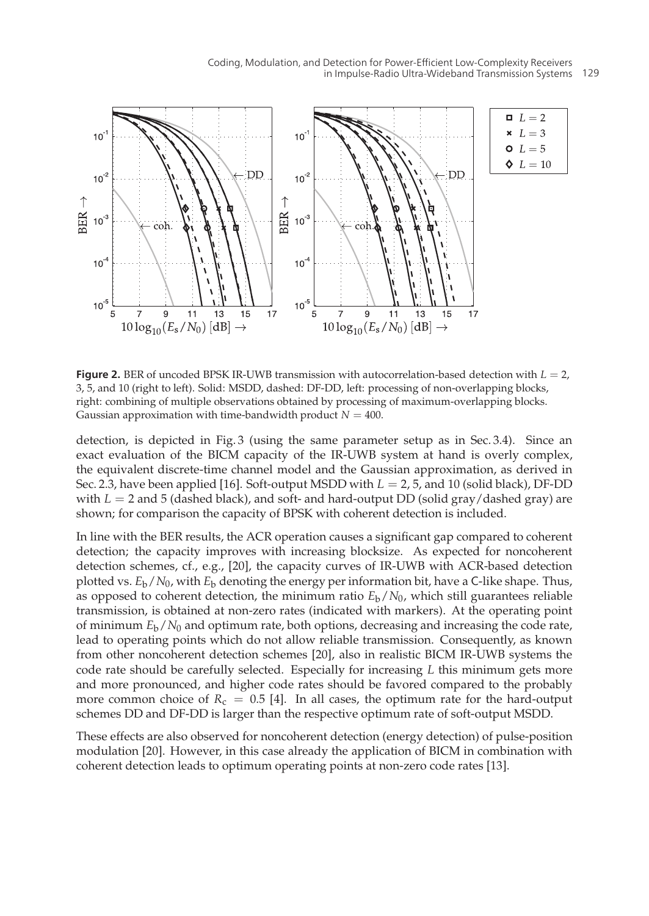

**Figure 2.** BER of uncoded BPSK IR-UWB transmission with autocorrelation-based detection with  $L = 2$ , 3, 5, and 10 (right to left). Solid: MSDD, dashed: DF-DD, left: processing of non-overlapping blocks, right: combining of multiple observations obtained by processing of maximum-overlapping blocks. Gaussian approximation with time-bandwidth product  $N = 400$ .

detection, is depicted in Fig. 3 (using the same parameter setup as in Sec. 3.4). Since an exact evaluation of the BICM capacity of the IR-UWB system at hand is overly complex, the equivalent discrete-time channel model and the Gaussian approximation, as derived in Sec. 2.3, have been applied [16]. Soft-output MSDD with  $L = 2$ , 5, and 10 (solid black), DF-DD with  $L = 2$  and 5 (dashed black), and soft- and hard-output DD (solid gray/dashed gray) are shown; for comparison the capacity of BPSK with coherent detection is included.

In line with the BER results, the ACR operation causes a significant gap compared to coherent detection; the capacity improves with increasing blocksize. As expected for noncoherent detection schemes, cf., e.g., [20], the capacity curves of IR-UWB with ACR-based detection plotted vs.  $E_b/N_0$ , with  $E_b$  denoting the energy per information bit, have a C-like shape. Thus, as opposed to coherent detection, the minimum ratio  $E_b/N_0$ , which still guarantees reliable transmission, is obtained at non-zero rates (indicated with markers). At the operating point of minimum *E*b/*N*<sup>0</sup> and optimum rate, both options, decreasing and increasing the code rate, lead to operating points which do not allow reliable transmission. Consequently, as known from other noncoherent detection schemes [20], also in realistic BICM IR-UWB systems the code rate should be carefully selected. Especially for increasing *L* this minimum gets more and more pronounced, and higher code rates should be favored compared to the probably more common choice of  $R_c = 0.5$  [4]. In all cases, the optimum rate for the hard-output schemes DD and DF-DD is larger than the respective optimum rate of soft-output MSDD.

These effects are also observed for noncoherent detection (energy detection) of pulse-position modulation [20]. However, in this case already the application of BICM in combination with coherent detection leads to optimum operating points at non-zero code rates [13].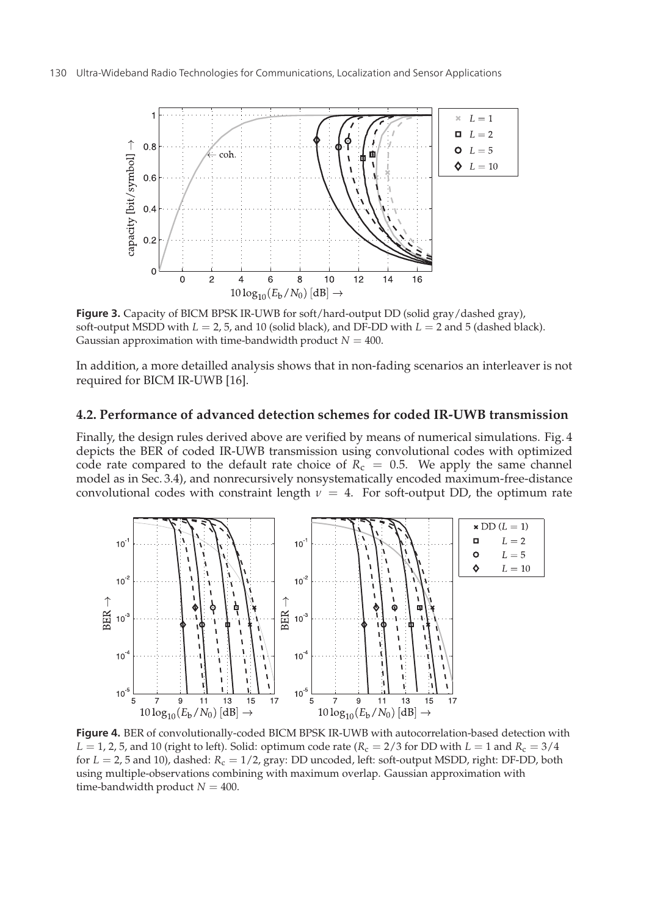

**Figure 3.** Capacity of BICM BPSK IR-UWB for soft/hard-output DD (solid gray/dashed gray), soft-output MSDD with *L* = 2, 5, and 10 (solid black), and DF-DD with *L* = 2 and 5 (dashed black). Gaussian approximation with time-bandwidth product  $N = 400$ .

In addition, a more detailled analysis shows that in non-fading scenarios an interleaver is not required for BICM IR-UWB [16].

#### **4.2. Performance of advanced detection schemes for coded IR-UWB transmission**

Finally, the design rules derived above are verified by means of numerical simulations. Fig. 4 depicts the BER of coded IR-UWB transmission using convolutional codes with optimized code rate compared to the default rate choice of  $R<sub>c</sub> = 0.5$ . We apply the same channel model as in Sec. 3.4), and nonrecursively nonsystematically encoded maximum-free-distance convolutional codes with constraint length  $v = 4$ . For soft-output DD, the optimum rate



**Figure 4.** BER of convolutionally-coded BICM BPSK IR-UWB with autocorrelation-based detection with  $L = 1$ , 2, 5, and 10 (right to left). Solid: optimum code rate ( $R_c = 2/3$  for DD with  $L = 1$  and  $R_c = 3/4$ for *L* = 2, 5 and 10), dashed: *R*<sup>c</sup> = 1/2, gray: DD uncoded, left: soft-output MSDD, right: DF-DD, both using multiple-observations combining with maximum overlap. Gaussian approximation with time-bandwidth product  $N = 400$ .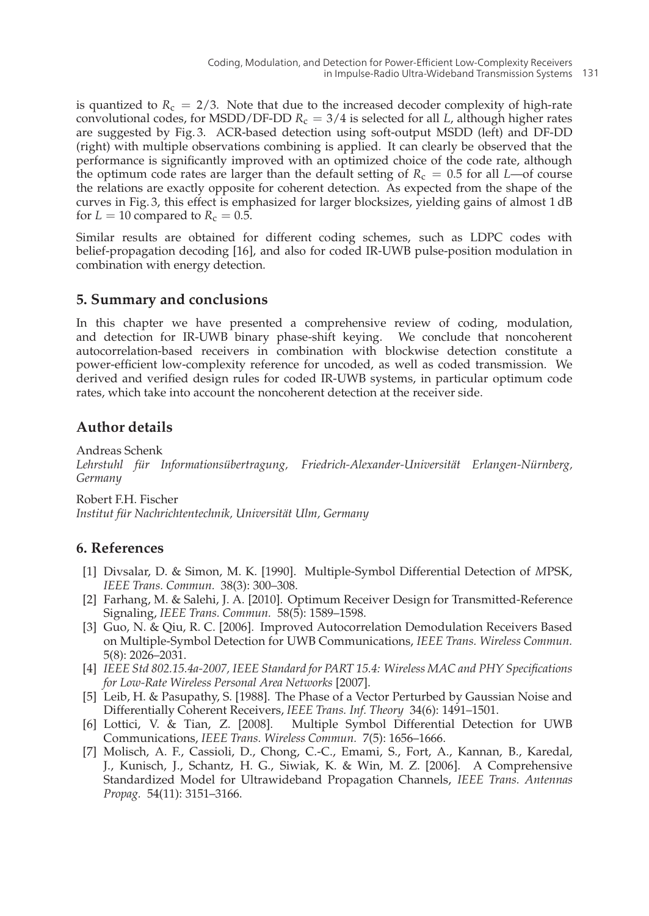is quantized to  $R_c = 2/3$ . Note that due to the increased decoder complexity of high-rate convolutional codes, for MSDD/DF-DD  $R_c = 3/4$  is selected for all *L*, although higher rates are suggested by Fig. 3. ACR-based detection using soft-output MSDD (left) and DF-DD (right) with multiple observations combining is applied. It can clearly be observed that the performance is significantly improved with an optimized choice of the code rate, although the optimum code rates are larger than the default setting of  $R_c = 0.5$  for all *L*—of course the relations are exactly opposite for coherent detection. As expected from the shape of the curves in Fig. 3, this effect is emphasized for larger blocksizes, yielding gains of almost 1 dB for  $L = 10$  compared to  $R_c = 0.5$ .

Similar results are obtained for different coding schemes, such as LDPC codes with belief-propagation decoding [16], and also for coded IR-UWB pulse-position modulation in combination with energy detection.

## **5. Summary and conclusions**

In this chapter we have presented a comprehensive review of coding, modulation, and detection for IR-UWB binary phase-shift keying. We conclude that noncoherent autocorrelation-based receivers in combination with blockwise detection constitute a power-efficient low-complexity reference for uncoded, as well as coded transmission. We derived and verified design rules for coded IR-UWB systems, in particular optimum code rates, which take into account the noncoherent detection at the receiver side.

# **Author details**

Andreas Schenk *Lehrstuhl für Informationsübertragung, Friedrich-Alexander-Universität Erlangen-Nürnberg, Germany*

Robert F.H. Fischer

*Institut für Nachrichtentechnik, Universität Ulm, Germany*

# **6. References**

- [1] Divsalar, D. & Simon, M. K. [1990]. Multiple-Symbol Differential Detection of *M*PSK, *IEEE Trans. Commun.* 38(3): 300–308.
- [2] Farhang, M. & Salehi, J. A. [2010]. Optimum Receiver Design for Transmitted-Reference Signaling, *IEEE Trans. Commun.* 58(5): 1589–1598.
- [3] Guo, N. & Qiu, R. C. [2006]. Improved Autocorrelation Demodulation Receivers Based on Multiple-Symbol Detection for UWB Communications, *IEEE Trans. Wireless Commun.* 5(8): 2026–2031.
- [4] *IEEE Std 802.15.4a-2007, IEEE Standard for PART 15.4: Wireless MAC and PHY Specifications for Low-Rate Wireless Personal Area Networks* [2007].
- [5] Leib, H. & Pasupathy, S. [1988]. The Phase of a Vector Perturbed by Gaussian Noise and
- Differentially Coherent Receivers, *IEEE Trans. Inf. Theory* 34(6): 1491–1501.<br>[6] Lottici, V. & Tian, Z. [2008]. Multiple Symbol Differential Detection Multiple Symbol Differential Detection for UWB Communications, *IEEE Trans. Wireless Commun.* 7(5): 1656–1666.
- [7] Molisch, A. F., Cassioli, D., Chong, C.-C., Emami, S., Fort, A., Kannan, B., Karedal, J., Kunisch, J., Schantz, H. G., Siwiak, K. & Win, M. Z. [2006]. A Comprehensive Standardized Model for Ultrawideband Propagation Channels, *IEEE Trans. Antennas Propag.* 54(11): 3151–3166.